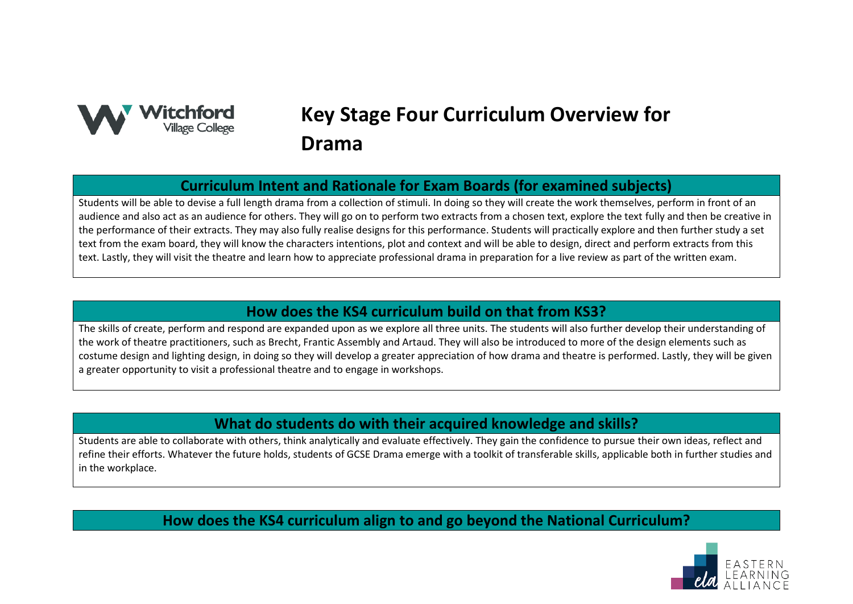

# **Key Stage Four Curriculum Overview for Drama**

#### **Curriculum Intent and Rationale for Exam Boards (for examined subjects)**

Students will be able to devise a full length drama from a collection of stimuli. In doing so they will create the work themselves, perform in front of an audience and also act as an audience for others. They will go on to perform two extracts from a chosen text, explore the text fully and then be creative in the performance of their extracts. They may also fully realise designs for this performance. Students will practically explore and then further study a set text from the exam board, they will know the characters intentions, plot and context and will be able to design, direct and perform extracts from this text. Lastly, they will visit the theatre and learn how to appreciate professional drama in preparation for a live review as part of the written exam.

## **How does the KS4 curriculum build on that from KS3?**

The skills of create, perform and respond are expanded upon as we explore all three units. The students will also further develop their understanding of the work of theatre practitioners, such as Brecht, Frantic Assembly and Artaud. They will also be introduced to more of the design elements such as costume design and lighting design, in doing so they will develop a greater appreciation of how drama and theatre is performed. Lastly, they will be given a greater opportunity to visit a professional theatre and to engage in workshops.

## **What do students do with their acquired knowledge and skills?**

Students are able to collaborate with others, think analytically and evaluate effectively. They gain the confidence to pursue their own ideas, reflect and refine their efforts. Whatever the future holds, students of GCSE Drama emerge with a toolkit of transferable skills, applicable both in further studies and in the workplace.

**How does the KS4 curriculum align to and go beyond the National Curriculum?**

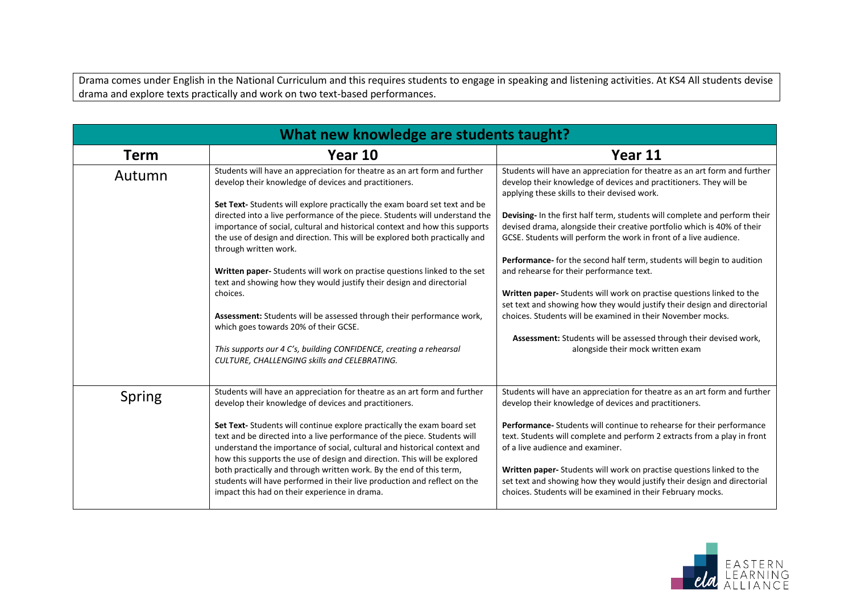Drama comes under English in the National Curriculum and this requires students to engage in speaking and listening activities. At KS4 All students devise drama and explore texts practically and work on two text-based performances.

| What new knowledge are students taught? |                                                                                                                                                                                                                                                                                                                                                 |                                                                                                                                                                                                                            |  |
|-----------------------------------------|-------------------------------------------------------------------------------------------------------------------------------------------------------------------------------------------------------------------------------------------------------------------------------------------------------------------------------------------------|----------------------------------------------------------------------------------------------------------------------------------------------------------------------------------------------------------------------------|--|
| <b>Term</b>                             | Year 10                                                                                                                                                                                                                                                                                                                                         | Year 11                                                                                                                                                                                                                    |  |
| Autumn                                  | Students will have an appreciation for theatre as an art form and further<br>develop their knowledge of devices and practitioners.                                                                                                                                                                                                              | Students will have an appreciation for theatre as an art form and further<br>develop their knowledge of devices and practitioners. They will be<br>applying these skills to their devised work.                            |  |
|                                         | Set Text-Students will explore practically the exam board set text and be<br>directed into a live performance of the piece. Students will understand the<br>importance of social, cultural and historical context and how this supports<br>the use of design and direction. This will be explored both practically and<br>through written work. | Devising- In the first half term, students will complete and perform their<br>devised drama, alongside their creative portfolio which is 40% of their<br>GCSE. Students will perform the work in front of a live audience. |  |
|                                         | Written paper-Students will work on practise questions linked to the set<br>text and showing how they would justify their design and directorial<br>choices.                                                                                                                                                                                    | Performance- for the second half term, students will begin to audition<br>and rehearse for their performance text.<br>Written paper-Students will work on practise questions linked to the                                 |  |
|                                         | Assessment: Students will be assessed through their performance work,<br>which goes towards 20% of their GCSE.                                                                                                                                                                                                                                  | set text and showing how they would justify their design and directorial<br>choices. Students will be examined in their November mocks.                                                                                    |  |
|                                         | This supports our 4 C's, building CONFIDENCE, creating a rehearsal<br>CULTURE, CHALLENGING skills and CELEBRATING.                                                                                                                                                                                                                              | Assessment: Students will be assessed through their devised work,<br>alongside their mock written exam                                                                                                                     |  |
| Spring                                  | Students will have an appreciation for theatre as an art form and further<br>develop their knowledge of devices and practitioners.                                                                                                                                                                                                              | Students will have an appreciation for theatre as an art form and further<br>develop their knowledge of devices and practitioners.                                                                                         |  |
|                                         | Set Text-Students will continue explore practically the exam board set<br>text and be directed into a live performance of the piece. Students will<br>understand the importance of social, cultural and historical context and<br>how this supports the use of design and direction. This will be explored                                      | Performance-Students will continue to rehearse for their performance<br>text. Students will complete and perform 2 extracts from a play in front<br>of a live audience and examiner.                                       |  |
|                                         | both practically and through written work. By the end of this term,<br>students will have performed in their live production and reflect on the<br>impact this had on their experience in drama.                                                                                                                                                | Written paper- Students will work on practise questions linked to the<br>set text and showing how they would justify their design and directorial<br>choices. Students will be examined in their February mocks.           |  |

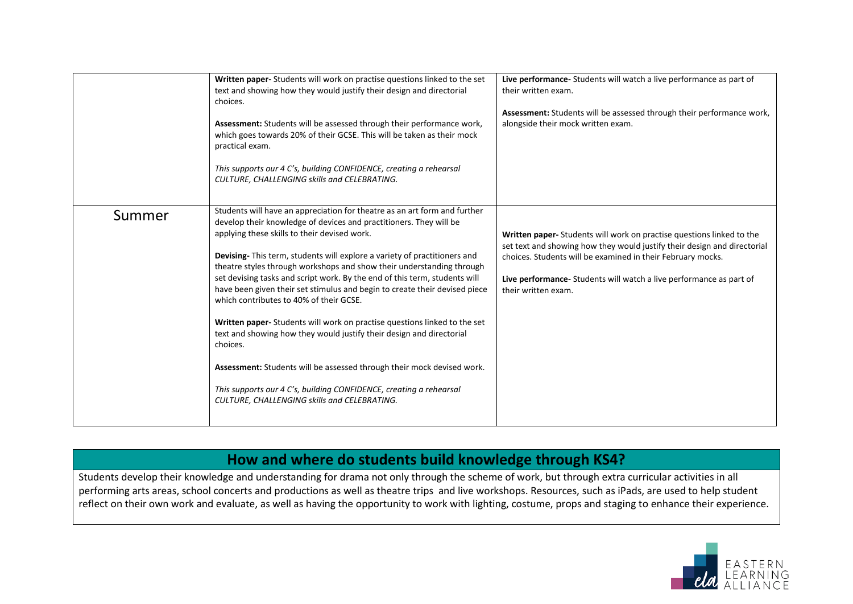|        | Written paper-Students will work on practise questions linked to the set<br>text and showing how they would justify their design and directorial<br>choices.<br>Assessment: Students will be assessed through their performance work,<br>which goes towards 20% of their GCSE. This will be taken as their mock<br>practical exam.<br>This supports our 4 C's, building CONFIDENCE, creating a rehearsal<br>CULTURE, CHALLENGING skills and CELEBRATING.                                                                                                                                                                                                                                                                                                                                                                                                                                                                    | Live performance- Students will watch a live performance as part of<br>their written exam.<br>Assessment: Students will be assessed through their performance work,<br>alongside their mock written exam.                                                                                                     |
|--------|-----------------------------------------------------------------------------------------------------------------------------------------------------------------------------------------------------------------------------------------------------------------------------------------------------------------------------------------------------------------------------------------------------------------------------------------------------------------------------------------------------------------------------------------------------------------------------------------------------------------------------------------------------------------------------------------------------------------------------------------------------------------------------------------------------------------------------------------------------------------------------------------------------------------------------|---------------------------------------------------------------------------------------------------------------------------------------------------------------------------------------------------------------------------------------------------------------------------------------------------------------|
| Summer | Students will have an appreciation for theatre as an art form and further<br>develop their knowledge of devices and practitioners. They will be<br>applying these skills to their devised work.<br>Devising-This term, students will explore a variety of practitioners and<br>theatre styles through workshops and show their understanding through<br>set devising tasks and script work. By the end of this term, students will<br>have been given their set stimulus and begin to create their devised piece<br>which contributes to 40% of their GCSE.<br>Written paper-Students will work on practise questions linked to the set<br>text and showing how they would justify their design and directorial<br>choices.<br>Assessment: Students will be assessed through their mock devised work.<br>This supports our 4 C's, building CONFIDENCE, creating a rehearsal<br>CULTURE, CHALLENGING skills and CELEBRATING. | Written paper-Students will work on practise questions linked to the<br>set text and showing how they would justify their design and directorial<br>choices. Students will be examined in their February mocks.<br>Live performance- Students will watch a live performance as part of<br>their written exam. |

## **How and where do students build knowledge through KS4?**

Students develop their knowledge and understanding for drama not only through the scheme of work, but through extra curricular activities in all performing arts areas, school concerts and productions as well as theatre trips and live workshops. Resources, such as iPads, are used to help student reflect on their own work and evaluate, as well as having the opportunity to work with lighting, costume, props and staging to enhance their experience.